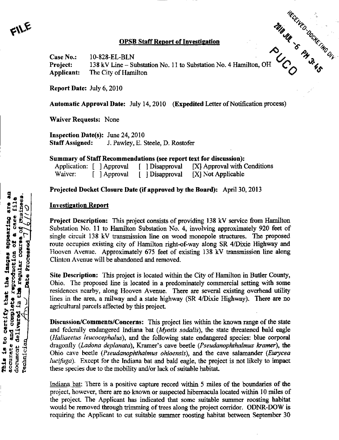## OPSB Staff Report of Investigation

%

/O Case No.: 10-828-EL-BLN  $\mathcal{L}$   $\mathcal{L}$   $\mathcal{L}$ Project: 138 kV Line - Substation No. 11 to Substation No. 4 Hamilton, OH Applicant: The City of Hamilton \ ? \*^

Report Date: July 6, 2010

Automatic Approval Date: July 14,2010 (Expedited Letter of Notification process)

Waiver Requests: None

Inspection Date(s): June 24, 2010 Staff Assigned: J. Pawley, E. Steele, D. Rostofer

Summary of Staff Recommendations (see report text for discussion);

|         | Application: [ ] Approval | [ ] Disapproval | [X] Approval with Conditions |
|---------|---------------------------|-----------------|------------------------------|
| Waiver: | [ ] Approval              | [ Disapproval   | [X] Not Applicable           |

## Projected Docket Closure Date (if approved by the Board): April 30, 2013

## Investigation Report

Project Description: This project consists of providing 138 kV service from Hamilton Substation No. 11 to Hamilton Substation No. 4, involving approximately 920 feet of single circuit 138 kV transmission line on wood monopole structures. The proposed route occupies existing city of Hamilton right-of-way along SR 4/Dixie Highway and Hooven Avenue. Approximately 675 feet of existing 138 kV transmission line along Clinton Avenue will be abandoned and removed.

Site Description: This project is located within the City of Hamilton in Butler County, Ohio. The proposed line is located in a predominately commercial setting with some residences nearby, along Hooven Avenue. There are several existing overhead utility lines in the area, a railway and a state highway (SR 4/Dixie Highway). There are no agricultural parcels affected by this project.

Discussion/Comments/Concerns: This project lies within the known range of the state and federally endangered Indiana bat (*Myotis sodalis*), the state threatened bald eagle (Haliaeetus leucocephalus), and the following state endangered species: blue corporal dragonfly (Ladona deplanata), Kramer's cave beetle (Pseudanophthalmus kramer), the Ohio cave beetle (*Pseudanophthalmus ohioensis*), and the cave salamander (*Eurycea* lucifuga). Except for the Indiana bat and bald eagle, the project is not likely to impact these species due to the mobility and/or lack of suitable habitat.

Indiana bat: There is a positive capture record within 5 miles of the boundaries of the project, however, there are no known or suspected hibemacula located within 10 miles of the project. The Applicant has indicated that some suitable summer roosting habitat would be removed through trimming of trees along the project corridor. ODNR-DOW is requiring the Applicant to cut suitable summer roosting habitat between September 30

 $F^{\prime\prime}$ E